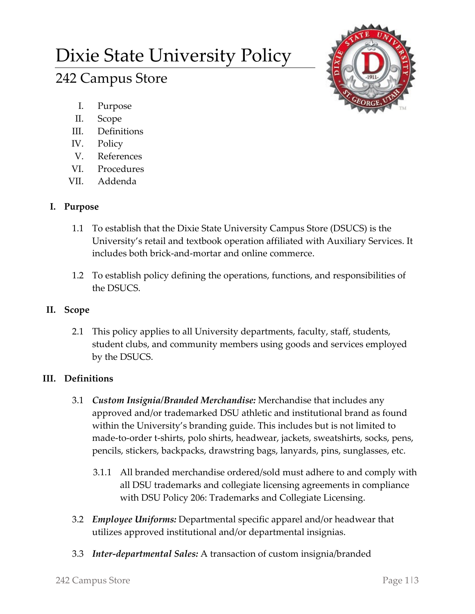# Dixie State University Policy

# 242 Campus Store

- I. Purpose
- II. Scope
- III. Definitions
- IV. Policy
- V. References
- VI. Procedures
- VII. Addenda

# **I. Purpose**

- 1.1 To establish that the Dixie State University Campus Store (DSUCS) is the University's retail and textbook operation affiliated with Auxiliary Services. It includes both brick-and-mortar and online commerce.
- 1.2 To establish policy defining the operations, functions, and responsibilities of the DSUCS.

# **II. Scope**

2.1 This policy applies to all University departments, faculty, staff, students, student clubs, and community members using goods and services employed by the DSUCS.

## **III. Definitions**

- 3.1 *Custom Insignia/Branded Merchandise:* Merchandise that includes any approved and/or trademarked DSU athletic and institutional brand as found within the University's branding guide. This includes but is not limited to made-to-order t-shirts, polo shirts, headwear, jackets, sweatshirts, socks, pens, pencils, stickers, backpacks, drawstring bags, lanyards, pins, sunglasses, etc.
	- 3.1.1 All branded merchandise ordered/sold must adhere to and comply with all DSU trademarks and collegiate licensing agreements in compliance with DSU Policy 206: Trademarks and Collegiate Licensing.
- 3.2 *Employee Uniforms:* Departmental specific apparel and/or headwear that utilizes approved institutional and/or departmental insignias.
- 3.3 *Inter-departmental Sales:* A transaction of custom insignia/branded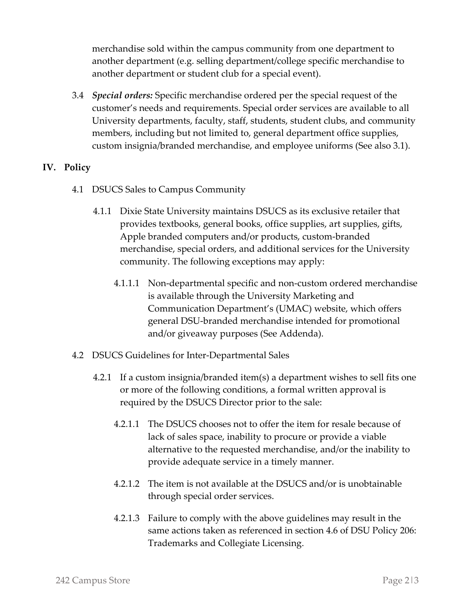merchandise sold within the campus community from one department to another department (e.g. selling department/college specific merchandise to another department or student club for a special event).

3.4 *Special orders:* Specific merchandise ordered per the special request of the customer's needs and requirements. Special order services are available to all University departments, faculty, staff, students, student clubs, and community members, including but not limited to, general department office supplies, custom insignia/branded merchandise, and employee uniforms (See also 3.1).

### **IV. Policy**

- 4.1 DSUCS Sales to Campus Community
	- 4.1.1 Dixie State University maintains DSUCS as its exclusive retailer that provides textbooks, general books, office supplies, art supplies, gifts, Apple branded computers and/or products, custom-branded merchandise, special orders, and additional services for the University community. The following exceptions may apply:
		- 4.1.1.1 Non-departmental specific and non-custom ordered merchandise is available through the University Marketing and Communication Department's (UMAC) website, which offers general DSU-branded merchandise intended for promotional and/or giveaway purposes (See Addenda).
- 4.2 DSUCS Guidelines for Inter-Departmental Sales
	- 4.2.1 If a custom insignia/branded item(s) a department wishes to sell fits one or more of the following conditions, a formal written approval is required by the DSUCS Director prior to the sale:
		- 4.2.1.1 The DSUCS chooses not to offer the item for resale because of lack of sales space, inability to procure or provide a viable alternative to the requested merchandise, and/or the inability to provide adequate service in a timely manner.
		- 4.2.1.2 The item is not available at the DSUCS and/or is unobtainable through special order services.
		- 4.2.1.3 Failure to comply with the above guidelines may result in the same actions taken as referenced in section 4.6 of DSU Policy 206: Trademarks and Collegiate Licensing.